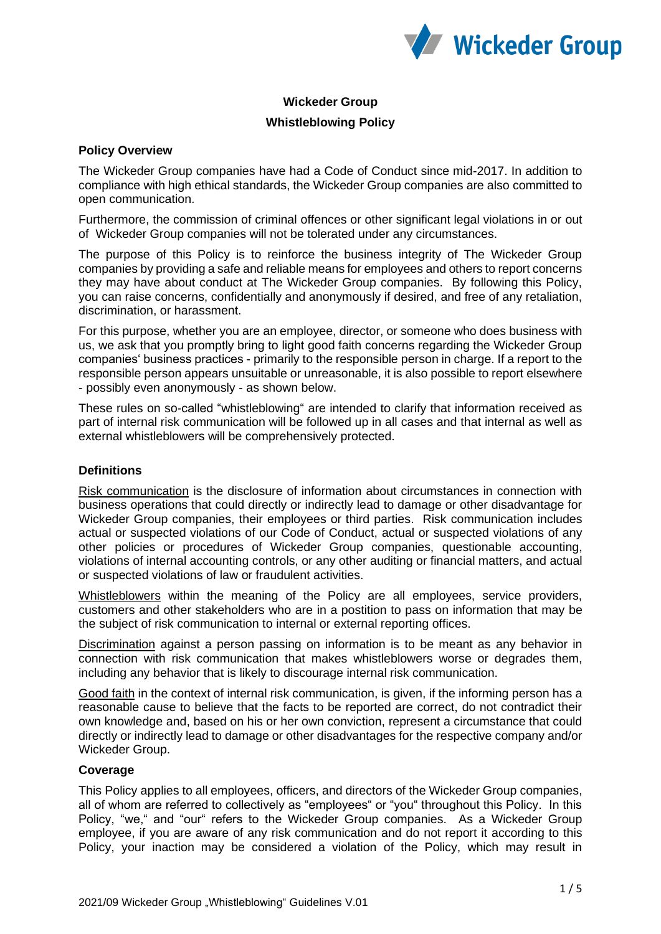

# **Wickeder Group**

# **Whistleblowing Policy**

## **Policy Overview**

The Wickeder Group companies have had a Code of Conduct since mid-2017. In addition to compliance with high ethical standards, the Wickeder Group companies are also committed to open communication.

Furthermore, the commission of criminal offences or other significant legal violations in or out of Wickeder Group companies will not be tolerated under any circumstances.

The purpose of this Policy is to reinforce the business integrity of The Wickeder Group companies by providing a safe and reliable means for employees and others to report concerns they may have about conduct at The Wickeder Group companies. By following this Policy, you can raise concerns, confidentially and anonymously if desired, and free of any retaliation, discrimination, or harassment.

For this purpose, whether you are an employee, director, or someone who does business with us, we ask that you promptly bring to light good faith concerns regarding the Wickeder Group companies' business practices - primarily to the responsible person in charge. If a report to the responsible person appears unsuitable or unreasonable, it is also possible to report elsewhere - possibly even anonymously - as shown below.

These rules on so-called "whistleblowing" are intended to clarify that information received as part of internal risk communication will be followed up in all cases and that internal as well as external whistleblowers will be comprehensively protected.

## **Definitions**

Risk communication is the disclosure of information about circumstances in connection with business operations that could directly or indirectly lead to damage or other disadvantage for Wickeder Group companies, their employees or third parties. Risk communication includes actual or suspected violations of our Code of Conduct, actual or suspected violations of any other policies or procedures of Wickeder Group companies, questionable accounting, violations of internal accounting controls, or any other auditing or financial matters, and actual or suspected violations of law or fraudulent activities.

Whistleblowers within the meaning of the Policy are all employees, service providers, customers and other stakeholders who are in a postition to pass on information that may be the subject of risk communication to internal or external reporting offices.

Discrimination against a person passing on information is to be meant as any behavior in connection with risk communication that makes whistleblowers worse or degrades them, including any behavior that is likely to discourage internal risk communication.

Good faith in the context of internal risk communication, is given, if the informing person has a reasonable cause to believe that the facts to be reported are correct, do not contradict their own knowledge and, based on his or her own conviction, represent a circumstance that could directly or indirectly lead to damage or other disadvantages for the respective company and/or Wickeder Group.

# **Coverage**

This Policy applies to all employees, officers, and directors of the Wickeder Group companies, all of whom are referred to collectively as "employees" or "you" throughout this Policy. In this Policy, "we," and "our" refers to the Wickeder Group companies. As a Wickeder Group employee, if you are aware of any risk communication and do not report it according to this Policy, your inaction may be considered a violation of the Policy, which may result in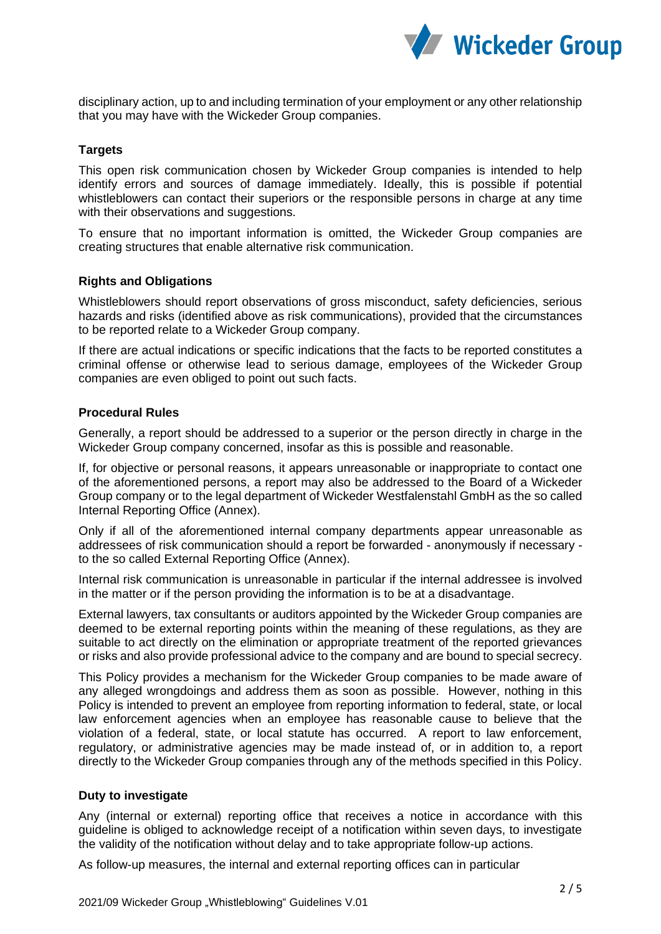

disciplinary action, up to and including termination of your employment or any other relationship that you may have with the Wickeder Group companies.

# **Targets**

This open risk communication chosen by Wickeder Group companies is intended to help identify errors and sources of damage immediately. Ideally, this is possible if potential whistleblowers can contact their superiors or the responsible persons in charge at any time with their observations and suggestions.

To ensure that no important information is omitted, the Wickeder Group companies are creating structures that enable alternative risk communication.

#### **Rights and Obligations**

Whistleblowers should report observations of gross misconduct, safety deficiencies, serious hazards and risks (identified above as risk communications), provided that the circumstances to be reported relate to a Wickeder Group company.

If there are actual indications or specific indications that the facts to be reported constitutes a criminal offense or otherwise lead to serious damage, employees of the Wickeder Group companies are even obliged to point out such facts.

## **Procedural Rules**

Generally, a report should be addressed to a superior or the person directly in charge in the Wickeder Group company concerned, insofar as this is possible and reasonable.

If, for objective or personal reasons, it appears unreasonable or inappropriate to contact one of the aforementioned persons, a report may also be addressed to the Board of a Wickeder Group company or to the legal department of Wickeder Westfalenstahl GmbH as the so called Internal Reporting Office (Annex).

Only if all of the aforementioned internal company departments appear unreasonable as addressees of risk communication should a report be forwarded - anonymously if necessary to the so called External Reporting Office (Annex).

Internal risk communication is unreasonable in particular if the internal addressee is involved in the matter or if the person providing the information is to be at a disadvantage.

External lawyers, tax consultants or auditors appointed by the Wickeder Group companies are deemed to be external reporting points within the meaning of these regulations, as they are suitable to act directly on the elimination or appropriate treatment of the reported grievances or risks and also provide professional advice to the company and are bound to special secrecy.

This Policy provides a mechanism for the Wickeder Group companies to be made aware of any alleged wrongdoings and address them as soon as possible. However, nothing in this Policy is intended to prevent an employee from reporting information to federal, state, or local law enforcement agencies when an employee has reasonable cause to believe that the violation of a federal, state, or local statute has occurred. A report to law enforcement, regulatory, or administrative agencies may be made instead of, or in addition to, a report directly to the Wickeder Group companies through any of the methods specified in this Policy.

#### **Duty to investigate**

Any (internal or external) reporting office that receives a notice in accordance with this guideline is obliged to acknowledge receipt of a notification within seven days, to investigate the validity of the notification without delay and to take appropriate follow-up actions.

As follow-up measures, the internal and external reporting offices can in particular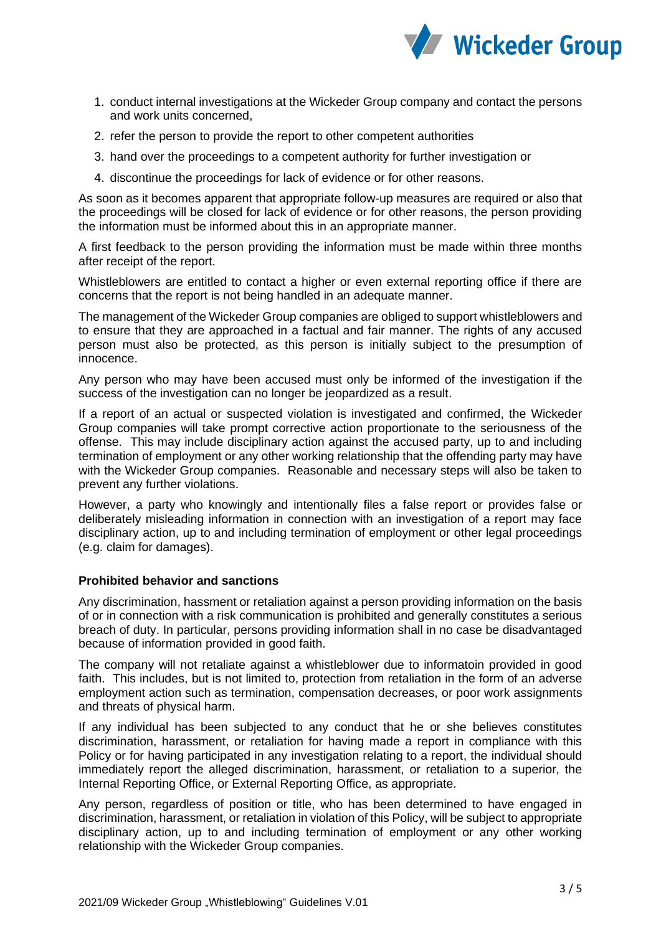

- 1. conduct internal investigations at the Wickeder Group company and contact the persons and work units concerned,
- 2. refer the person to provide the report to other competent authorities
- 3. hand over the proceedings to a competent authority for further investigation or
- 4. discontinue the proceedings for lack of evidence or for other reasons.

As soon as it becomes apparent that appropriate follow-up measures are required or also that the proceedings will be closed for lack of evidence or for other reasons, the person providing the information must be informed about this in an appropriate manner.

A first feedback to the person providing the information must be made within three months after receipt of the report.

Whistleblowers are entitled to contact a higher or even external reporting office if there are concerns that the report is not being handled in an adequate manner.

The management of the Wickeder Group companies are obliged to support whistleblowers and to ensure that they are approached in a factual and fair manner. The rights of any accused person must also be protected, as this person is initially subject to the presumption of innocence.

Any person who may have been accused must only be informed of the investigation if the success of the investigation can no longer be jeopardized as a result.

If a report of an actual or suspected violation is investigated and confirmed, the Wickeder Group companies will take prompt corrective action proportionate to the seriousness of the offense. This may include disciplinary action against the accused party, up to and including termination of employment or any other working relationship that the offending party may have with the Wickeder Group companies. Reasonable and necessary steps will also be taken to prevent any further violations.

However, a party who knowingly and intentionally files a false report or provides false or deliberately misleading information in connection with an investigation of a report may face disciplinary action, up to and including termination of employment or other legal proceedings (e.g. claim for damages).

## **Prohibited behavior and sanctions**

Any discrimination, hassment or retaliation against a person providing information on the basis of or in connection with a risk communication is prohibited and generally constitutes a serious breach of duty. In particular, persons providing information shall in no case be disadvantaged because of information provided in good faith.

The company will not retaliate against a whistleblower due to informatoin provided in good faith. This includes, but is not limited to, protection from retaliation in the form of an adverse employment action such as termination, compensation decreases, or poor work assignments and threats of physical harm.

If any individual has been subjected to any conduct that he or she believes constitutes discrimination, harassment, or retaliation for having made a report in compliance with this Policy or for having participated in any investigation relating to a report, the individual should immediately report the alleged discrimination, harassment, or retaliation to a superior, the Internal Reporting Office, or External Reporting Office, as appropriate.

Any person, regardless of position or title, who has been determined to have engaged in discrimination, harassment, or retaliation in violation of this Policy, will be subject to appropriate disciplinary action, up to and including termination of employment or any other working relationship with the Wickeder Group companies.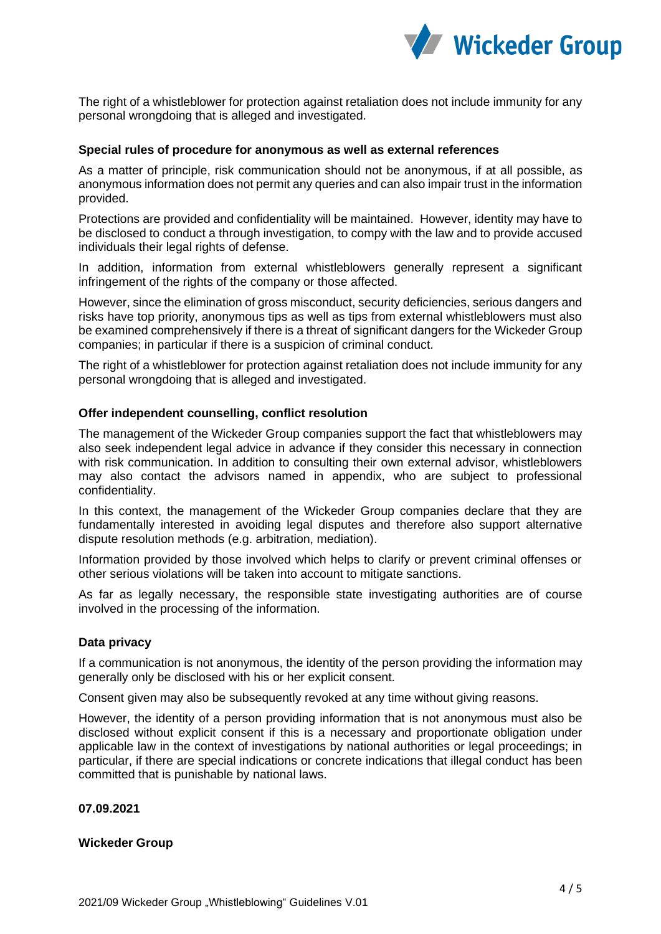

The right of a whistleblower for protection against retaliation does not include immunity for any personal wrongdoing that is alleged and investigated.

## **Special rules of procedure for anonymous as well as external references**

As a matter of principle, risk communication should not be anonymous, if at all possible, as anonymous information does not permit any queries and can also impair trust in the information provided.

Protections are provided and confidentiality will be maintained. However, identity may have to be disclosed to conduct a through investigation, to compy with the law and to provide accused individuals their legal rights of defense.

In addition, information from external whistleblowers generally represent a significant infringement of the rights of the company or those affected.

However, since the elimination of gross misconduct, security deficiencies, serious dangers and risks have top priority, anonymous tips as well as tips from external whistleblowers must also be examined comprehensively if there is a threat of significant dangers for the Wickeder Group companies; in particular if there is a suspicion of criminal conduct.

The right of a whistleblower for protection against retaliation does not include immunity for any personal wrongdoing that is alleged and investigated.

#### **Offer independent counselling, conflict resolution**

The management of the Wickeder Group companies support the fact that whistleblowers may also seek independent legal advice in advance if they consider this necessary in connection with risk communication. In addition to consulting their own external advisor, whistleblowers may also contact the advisors named in appendix, who are subject to professional confidentiality.

In this context, the management of the Wickeder Group companies declare that they are fundamentally interested in avoiding legal disputes and therefore also support alternative dispute resolution methods (e.g. arbitration, mediation).

Information provided by those involved which helps to clarify or prevent criminal offenses or other serious violations will be taken into account to mitigate sanctions.

As far as legally necessary, the responsible state investigating authorities are of course involved in the processing of the information.

#### **Data privacy**

If a communication is not anonymous, the identity of the person providing the information may generally only be disclosed with his or her explicit consent.

Consent given may also be subsequently revoked at any time without giving reasons.

However, the identity of a person providing information that is not anonymous must also be disclosed without explicit consent if this is a necessary and proportionate obligation under applicable law in the context of investigations by national authorities or legal proceedings; in particular, if there are special indications or concrete indications that illegal conduct has been committed that is punishable by national laws.

#### **07.09.2021**

#### **Wickeder Group**